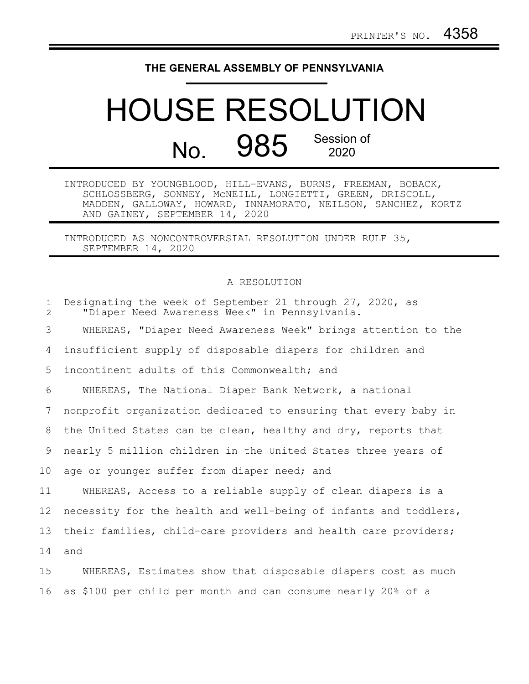## **THE GENERAL ASSEMBLY OF PENNSYLVANIA**

## HOUSE RESOLUTION No. 985 Session of 2020

INTRODUCED BY YOUNGBLOOD, HILL-EVANS, BURNS, FREEMAN, BOBACK, SCHLOSSBERG, SONNEY, McNEILL, LONGIETTI, GREEN, DRISCOLL, MADDEN, GALLOWAY, HOWARD, INNAMORATO, NEILSON, SANCHEZ, KORTZ AND GAINEY, SEPTEMBER 14, 2020

INTRODUCED AS NONCONTROVERSIAL RESOLUTION UNDER RULE 35, SEPTEMBER 14, 2020

## A RESOLUTION

| $\mathbf{1}$<br>$\overline{2}$ | Designating the week of September 21 through 27, 2020, as<br>"Diaper Need Awareness Week" in Pennsylvania. |
|--------------------------------|------------------------------------------------------------------------------------------------------------|
| 3                              | WHEREAS, "Diaper Need Awareness Week" brings attention to the                                              |
| 4                              | insufficient supply of disposable diapers for children and                                                 |
| 5                              | incontinent adults of this Commonwealth; and                                                               |
| 6                              | WHEREAS, The National Diaper Bank Network, a national                                                      |
| 7                              | nonprofit organization dedicated to ensuring that every baby in                                            |
| 8                              | the United States can be clean, healthy and dry, reports that                                              |
| 9                              | nearly 5 million children in the United States three years of                                              |
| 10 <sub>1</sub>                | age or younger suffer from diaper need; and                                                                |
| 11                             | WHEREAS, Access to a reliable supply of clean diapers is a                                                 |
| 12                             | necessity for the health and well-being of infants and toddlers,                                           |
| 13                             | their families, child-care providers and health care providers;                                            |
| 14                             | and                                                                                                        |
| 15                             | WHEREAS, Estimates show that disposable diapers cost as much                                               |

as \$100 per child per month and can consume nearly 20% of a 16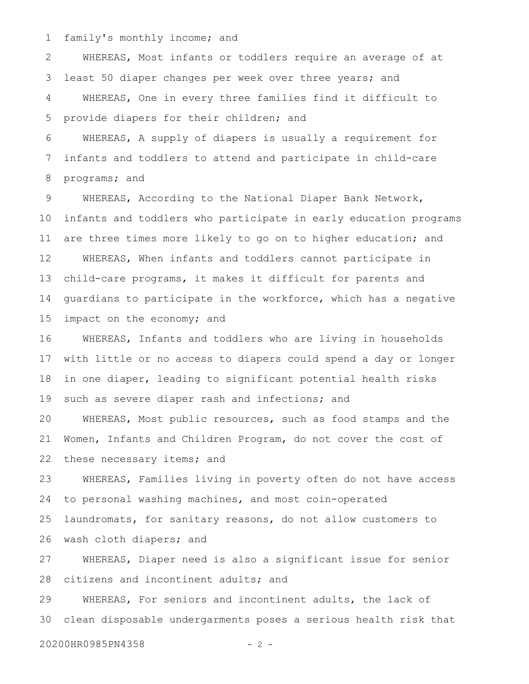family's monthly income; and 1

WHEREAS, Most infants or toddlers require an average of at least 50 diaper changes per week over three years; and WHEREAS, One in every three families find it difficult to provide diapers for their children; and 2 3 4 5

WHEREAS, A supply of diapers is usually a requirement for infants and toddlers to attend and participate in child-care programs; and 6 7 8

WHEREAS, According to the National Diaper Bank Network, infants and toddlers who participate in early education programs are three times more likely to go on to higher education; and WHEREAS, When infants and toddlers cannot participate in child-care programs, it makes it difficult for parents and guardians to participate in the workforce, which has a negative impact on the economy; and 9 10 11 12 13 14 15

WHEREAS, Infants and toddlers who are living in households with little or no access to diapers could spend a day or longer in one diaper, leading to significant potential health risks such as severe diaper rash and infections; and 16 17 18 19

WHEREAS, Most public resources, such as food stamps and the Women, Infants and Children Program, do not cover the cost of these necessary items; and 20 21 22

WHEREAS, Families living in poverty often do not have access to personal washing machines, and most coin-operated laundromats, for sanitary reasons, do not allow customers to wash cloth diapers; and 23 24 25 26

WHEREAS, Diaper need is also a significant issue for senior citizens and incontinent adults; and 27 28

WHEREAS, For seniors and incontinent adults, the lack of clean disposable undergarments poses a serious health risk that 29 30

```
20200HR0985PN4358 - 2 -
```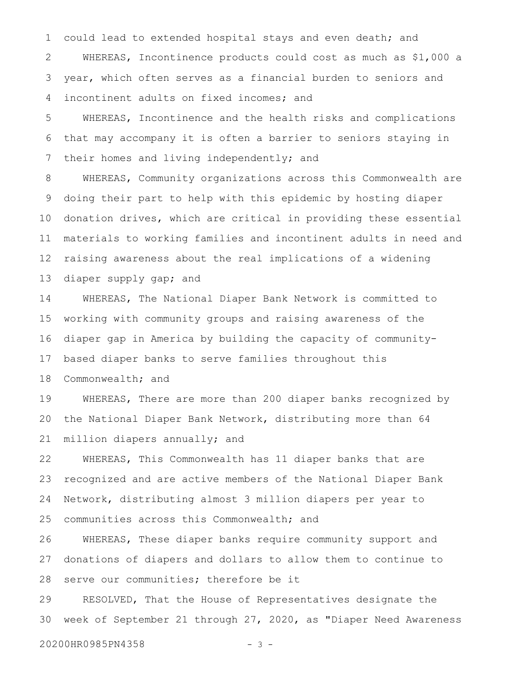could lead to extended hospital stays and even death; and WHEREAS, Incontinence products could cost as much as \$1,000 a year, which often serves as a financial burden to seniors and incontinent adults on fixed incomes; and 1 2 3 4

WHEREAS, Incontinence and the health risks and complications that may accompany it is often a barrier to seniors staying in their homes and living independently; and 5 6 7

WHEREAS, Community organizations across this Commonwealth are doing their part to help with this epidemic by hosting diaper donation drives, which are critical in providing these essential materials to working families and incontinent adults in need and raising awareness about the real implications of a widening diaper supply gap; and 8 9 10 11 12 13

WHEREAS, The National Diaper Bank Network is committed to working with community groups and raising awareness of the diaper gap in America by building the capacity of communitybased diaper banks to serve families throughout this Commonwealth; and 14 15 16 17 18

WHEREAS, There are more than 200 diaper banks recognized by the National Diaper Bank Network, distributing more than 64 million diapers annually; and 19 20 21

WHEREAS, This Commonwealth has 11 diaper banks that are recognized and are active members of the National Diaper Bank Network, distributing almost 3 million diapers per year to communities across this Commonwealth; and 22 23 24 25

WHEREAS, These diaper banks require community support and donations of diapers and dollars to allow them to continue to serve our communities; therefore be it 26 27 28

RESOLVED, That the House of Representatives designate the week of September 21 through 27, 2020, as "Diaper Need Awareness 29 30

20200HR0985PN4358 - 3 -